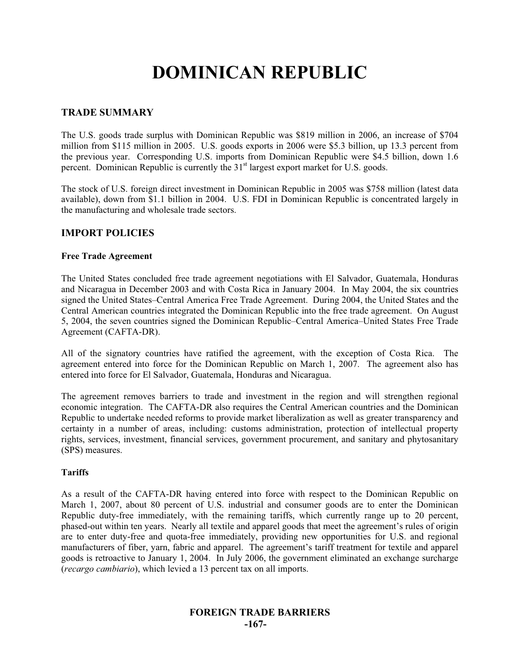# **DOMINICAN REPUBLIC**

### **TRADE SUMMARY**

The U.S. goods trade surplus with Dominican Republic was \$819 million in 2006, an increase of \$704 million from \$115 million in 2005. U.S. goods exports in 2006 were \$5.3 billion, up 13.3 percent from the previous year. Corresponding U.S. imports from Dominican Republic were \$4.5 billion, down 1.6 percent. Dominican Republic is currently the 31<sup>st</sup> largest export market for U.S. goods.

The stock of U.S. foreign direct investment in Dominican Republic in 2005 was \$758 million (latest data available), down from \$1.1 billion in 2004. U.S. FDI in Dominican Republic is concentrated largely in the manufacturing and wholesale trade sectors.

# **IMPORT POLICIES**

#### **Free Trade Agreement**

The United States concluded free trade agreement negotiations with El Salvador, Guatemala, Honduras and Nicaragua in December 2003 and with Costa Rica in January 2004. In May 2004, the six countries signed the United States–Central America Free Trade Agreement. During 2004, the United States and the Central American countries integrated the Dominican Republic into the free trade agreement. On August 5, 2004, the seven countries signed the Dominican Republic–Central America–United States Free Trade Agreement (CAFTA-DR).

All of the signatory countries have ratified the agreement, with the exception of Costa Rica. The agreement entered into force for the Dominican Republic on March 1, 2007. The agreement also has entered into force for El Salvador, Guatemala, Honduras and Nicaragua.

The agreement removes barriers to trade and investment in the region and will strengthen regional economic integration. The CAFTA-DR also requires the Central American countries and the Dominican Republic to undertake needed reforms to provide market liberalization as well as greater transparency and certainty in a number of areas, including: customs administration, protection of intellectual property rights, services, investment, financial services, government procurement, and sanitary and phytosanitary (SPS) measures.

#### **Tariffs**

As a result of the CAFTA-DR having entered into force with respect to the Dominican Republic on March 1, 2007, about 80 percent of U.S. industrial and consumer goods are to enter the Dominican Republic duty-free immediately, with the remaining tariffs, which currently range up to 20 percent, phased-out within ten years. Nearly all textile and apparel goods that meet the agreement's rules of origin are to enter duty-free and quota-free immediately, providing new opportunities for U.S. and regional manufacturers of fiber, yarn, fabric and apparel. The agreement's tariff treatment for textile and apparel goods is retroactive to January 1, 2004. In July 2006, the government eliminated an exchange surcharge (*recargo cambiario*), which levied a 13 percent tax on all imports.

# **FOREIGN TRADE BARRIERS -167-**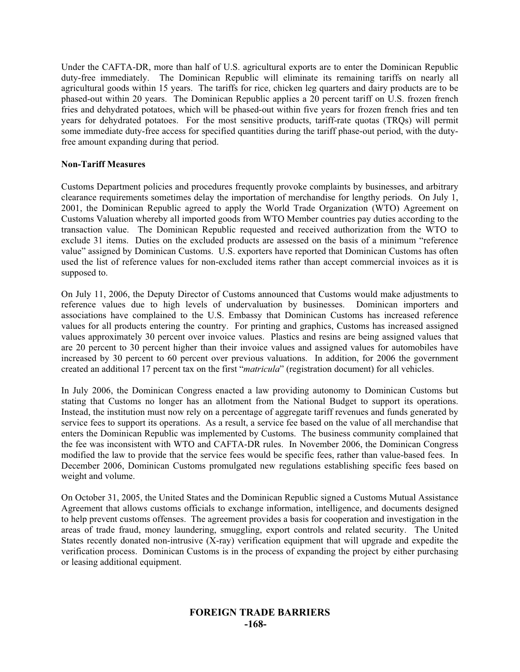Under the CAFTA-DR, more than half of U.S. agricultural exports are to enter the Dominican Republic duty-free immediately. The Dominican Republic will eliminate its remaining tariffs on nearly all agricultural goods within 15 years. The tariffs for rice, chicken leg quarters and dairy products are to be phased-out within 20 years. The Dominican Republic applies a 20 percent tariff on U.S. frozen french fries and dehydrated potatoes, which will be phased-out within five years for frozen french fries and ten years for dehydrated potatoes. For the most sensitive products, tariff-rate quotas (TRQs) will permit some immediate duty-free access for specified quantities during the tariff phase-out period, with the dutyfree amount expanding during that period.

#### **Non-Tariff Measures**

Customs Department policies and procedures frequently provoke complaints by businesses, and arbitrary clearance requirements sometimes delay the importation of merchandise for lengthy periods. On July 1, 2001, the Dominican Republic agreed to apply the World Trade Organization (WTO) Agreement on Customs Valuation whereby all imported goods from WTO Member countries pay duties according to the transaction value. The Dominican Republic requested and received authorization from the WTO to exclude 31 items. Duties on the excluded products are assessed on the basis of a minimum "reference value" assigned by Dominican Customs. U.S. exporters have reported that Dominican Customs has often used the list of reference values for non-excluded items rather than accept commercial invoices as it is supposed to.

On July 11, 2006, the Deputy Director of Customs announced that Customs would make adjustments to reference values due to high levels of undervaluation by businesses. Dominican importers and associations have complained to the U.S. Embassy that Dominican Customs has increased reference values for all products entering the country. For printing and graphics, Customs has increased assigned values approximately 30 percent over invoice values. Plastics and resins are being assigned values that are 20 percent to 30 percent higher than their invoice values and assigned values for automobiles have increased by 30 percent to 60 percent over previous valuations. In addition, for 2006 the government created an additional 17 percent tax on the first "*matricula*" (registration document) for all vehicles.

In July 2006, the Dominican Congress enacted a law providing autonomy to Dominican Customs but stating that Customs no longer has an allotment from the National Budget to support its operations. Instead, the institution must now rely on a percentage of aggregate tariff revenues and funds generated by service fees to support its operations. As a result, a service fee based on the value of all merchandise that enters the Dominican Republic was implemented by Customs. The business community complained that the fee was inconsistent with WTO and CAFTA-DR rules. In November 2006, the Dominican Congress modified the law to provide that the service fees would be specific fees, rather than value-based fees. In December 2006, Dominican Customs promulgated new regulations establishing specific fees based on weight and volume.

On October 31, 2005, the United States and the Dominican Republic signed a Customs Mutual Assistance Agreement that allows customs officials to exchange information, intelligence, and documents designed to help prevent customs offenses. The agreement provides a basis for cooperation and investigation in the areas of trade fraud, money laundering, smuggling, export controls and related security. The United States recently donated non-intrusive (X-ray) verification equipment that will upgrade and expedite the verification process. Dominican Customs is in the process of expanding the project by either purchasing or leasing additional equipment.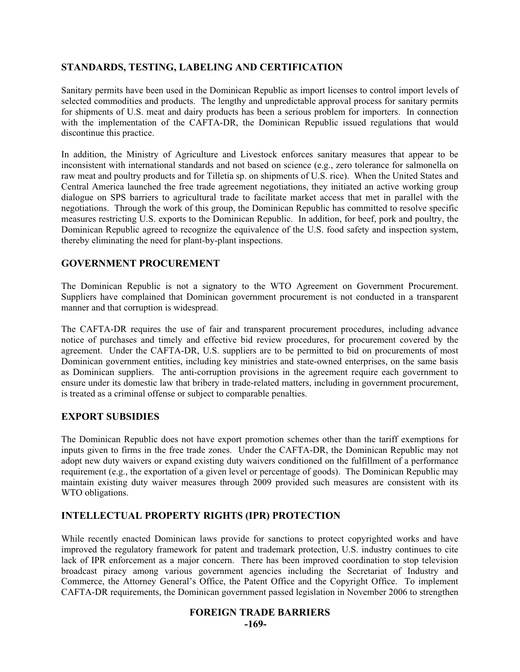# **STANDARDS, TESTING, LABELING AND CERTIFICATION**

Sanitary permits have been used in the Dominican Republic as import licenses to control import levels of selected commodities and products. The lengthy and unpredictable approval process for sanitary permits for shipments of U.S. meat and dairy products has been a serious problem for importers. In connection with the implementation of the CAFTA-DR, the Dominican Republic issued regulations that would discontinue this practice.

In addition, the Ministry of Agriculture and Livestock enforces sanitary measures that appear to be inconsistent with international standards and not based on science (e.g., zero tolerance for salmonella on raw meat and poultry products and for Tilletia sp. on shipments of U.S. rice). When the United States and Central America launched the free trade agreement negotiations, they initiated an active working group dialogue on SPS barriers to agricultural trade to facilitate market access that met in parallel with the negotiations. Through the work of this group, the Dominican Republic has committed to resolve specific measures restricting U.S. exports to the Dominican Republic. In addition, for beef, pork and poultry, the Dominican Republic agreed to recognize the equivalence of the U.S. food safety and inspection system, thereby eliminating the need for plant-by-plant inspections.

# **GOVERNMENT PROCUREMENT**

The Dominican Republic is not a signatory to the WTO Agreement on Government Procurement. Suppliers have complained that Dominican government procurement is not conducted in a transparent manner and that corruption is widespread.

The CAFTA-DR requires the use of fair and transparent procurement procedures, including advance notice of purchases and timely and effective bid review procedures, for procurement covered by the agreement. Under the CAFTA-DR, U.S. suppliers are to be permitted to bid on procurements of most Dominican government entities, including key ministries and state-owned enterprises, on the same basis as Dominican suppliers. The anti-corruption provisions in the agreement require each government to ensure under its domestic law that bribery in trade-related matters, including in government procurement, is treated as a criminal offense or subject to comparable penalties.

# **EXPORT SUBSIDIES**

The Dominican Republic does not have export promotion schemes other than the tariff exemptions for inputs given to firms in the free trade zones. Under the CAFTA-DR, the Dominican Republic may not adopt new duty waivers or expand existing duty waivers conditioned on the fulfillment of a performance requirement (e.g., the exportation of a given level or percentage of goods). The Dominican Republic may maintain existing duty waiver measures through 2009 provided such measures are consistent with its WTO obligations.

# **INTELLECTUAL PROPERTY RIGHTS (IPR) PROTECTION**

While recently enacted Dominican laws provide for sanctions to protect copyrighted works and have improved the regulatory framework for patent and trademark protection, U.S. industry continues to cite lack of IPR enforcement as a major concern. There has been improved coordination to stop television broadcast piracy among various government agencies including the Secretariat of Industry and Commerce, the Attorney General's Office, the Patent Office and the Copyright Office. To implement CAFTA-DR requirements, the Dominican government passed legislation in November 2006 to strengthen

#### **FOREIGN TRADE BARRIERS**

**-169-**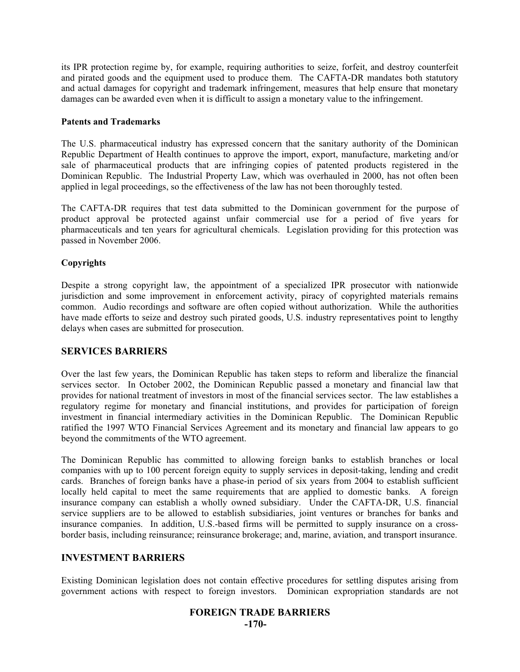its IPR protection regime by, for example, requiring authorities to seize, forfeit, and destroy counterfeit and pirated goods and the equipment used to produce them. The CAFTA-DR mandates both statutory and actual damages for copyright and trademark infringement, measures that help ensure that monetary damages can be awarded even when it is difficult to assign a monetary value to the infringement.

#### **Patents and Trademarks**

The U.S. pharmaceutical industry has expressed concern that the sanitary authority of the Dominican Republic Department of Health continues to approve the import, export, manufacture, marketing and/or sale of pharmaceutical products that are infringing copies of patented products registered in the Dominican Republic. The Industrial Property Law, which was overhauled in 2000, has not often been applied in legal proceedings, so the effectiveness of the law has not been thoroughly tested.

The CAFTA-DR requires that test data submitted to the Dominican government for the purpose of product approval be protected against unfair commercial use for a period of five years for pharmaceuticals and ten years for agricultural chemicals. Legislation providing for this protection was passed in November 2006.

#### **Copyrights**

Despite a strong copyright law, the appointment of a specialized IPR prosecutor with nationwide jurisdiction and some improvement in enforcement activity, piracy of copyrighted materials remains common. Audio recordings and software are often copied without authorization. While the authorities have made efforts to seize and destroy such pirated goods, U.S. industry representatives point to lengthy delays when cases are submitted for prosecution.

#### **SERVICES BARRIERS**

Over the last few years, the Dominican Republic has taken steps to reform and liberalize the financial services sector. In October 2002, the Dominican Republic passed a monetary and financial law that provides for national treatment of investors in most of the financial services sector. The law establishes a regulatory regime for monetary and financial institutions, and provides for participation of foreign investment in financial intermediary activities in the Dominican Republic. The Dominican Republic ratified the 1997 WTO Financial Services Agreement and its monetary and financial law appears to go beyond the commitments of the WTO agreement.

The Dominican Republic has committed to allowing foreign banks to establish branches or local companies with up to 100 percent foreign equity to supply services in deposit-taking, lending and credit cards. Branches of foreign banks have a phase-in period of six years from 2004 to establish sufficient locally held capital to meet the same requirements that are applied to domestic banks. A foreign insurance company can establish a wholly owned subsidiary. Under the CAFTA-DR, U.S. financial service suppliers are to be allowed to establish subsidiaries, joint ventures or branches for banks and insurance companies. In addition, U.S.-based firms will be permitted to supply insurance on a crossborder basis, including reinsurance; reinsurance brokerage; and, marine, aviation, and transport insurance.

#### **INVESTMENT BARRIERS**

Existing Dominican legislation does not contain effective procedures for settling disputes arising from government actions with respect to foreign investors. Dominican expropriation standards are not

# **FOREIGN TRADE BARRIERS**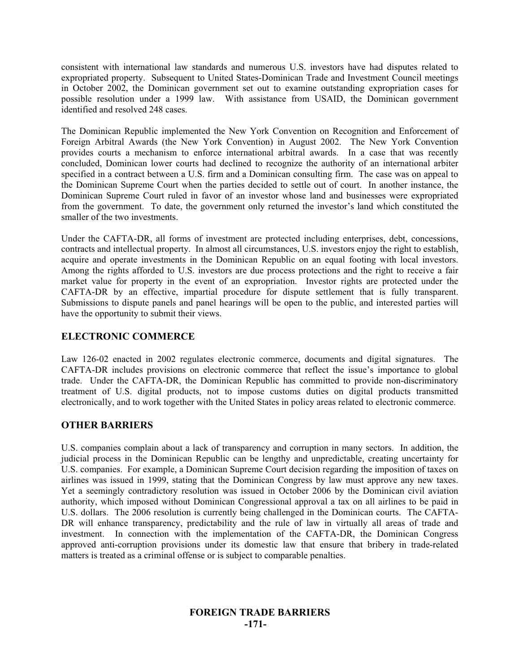consistent with international law standards and numerous U.S. investors have had disputes related to expropriated property. Subsequent to United States-Dominican Trade and Investment Council meetings in October 2002, the Dominican government set out to examine outstanding expropriation cases for possible resolution under a 1999 law. With assistance from USAID, the Dominican government identified and resolved 248 cases.

The Dominican Republic implemented the New York Convention on Recognition and Enforcement of Foreign Arbitral Awards (the New York Convention) in August 2002. The New York Convention provides courts a mechanism to enforce international arbitral awards. In a case that was recently concluded, Dominican lower courts had declined to recognize the authority of an international arbiter specified in a contract between a U.S. firm and a Dominican consulting firm. The case was on appeal to the Dominican Supreme Court when the parties decided to settle out of court. In another instance, the Dominican Supreme Court ruled in favor of an investor whose land and businesses were expropriated from the government. To date, the government only returned the investor's land which constituted the smaller of the two investments.

Under the CAFTA-DR, all forms of investment are protected including enterprises, debt, concessions, contracts and intellectual property. In almost all circumstances, U.S. investors enjoy the right to establish, acquire and operate investments in the Dominican Republic on an equal footing with local investors. Among the rights afforded to U.S. investors are due process protections and the right to receive a fair market value for property in the event of an expropriation. Investor rights are protected under the CAFTA-DR by an effective, impartial procedure for dispute settlement that is fully transparent. Submissions to dispute panels and panel hearings will be open to the public, and interested parties will have the opportunity to submit their views.

## **ELECTRONIC COMMERCE**

Law 126-02 enacted in 2002 regulates electronic commerce, documents and digital signatures. The CAFTA-DR includes provisions on electronic commerce that reflect the issue's importance to global trade. Under the CAFTA-DR, the Dominican Republic has committed to provide non-discriminatory treatment of U.S. digital products, not to impose customs duties on digital products transmitted electronically, and to work together with the United States in policy areas related to electronic commerce.

#### **OTHER BARRIERS**

U.S. companies complain about a lack of transparency and corruption in many sectors. In addition, the judicial process in the Dominican Republic can be lengthy and unpredictable, creating uncertainty for U.S. companies. For example, a Dominican Supreme Court decision regarding the imposition of taxes on airlines was issued in 1999, stating that the Dominican Congress by law must approve any new taxes. Yet a seemingly contradictory resolution was issued in October 2006 by the Dominican civil aviation authority, which imposed without Dominican Congressional approval a tax on all airlines to be paid in U.S. dollars. The 2006 resolution is currently being challenged in the Dominican courts. The CAFTA-DR will enhance transparency, predictability and the rule of law in virtually all areas of trade and investment. In connection with the implementation of the CAFTA-DR, the Dominican Congress approved anti-corruption provisions under its domestic law that ensure that bribery in trade-related matters is treated as a criminal offense or is subject to comparable penalties.

# **FOREIGN TRADE BARRIERS -171-**